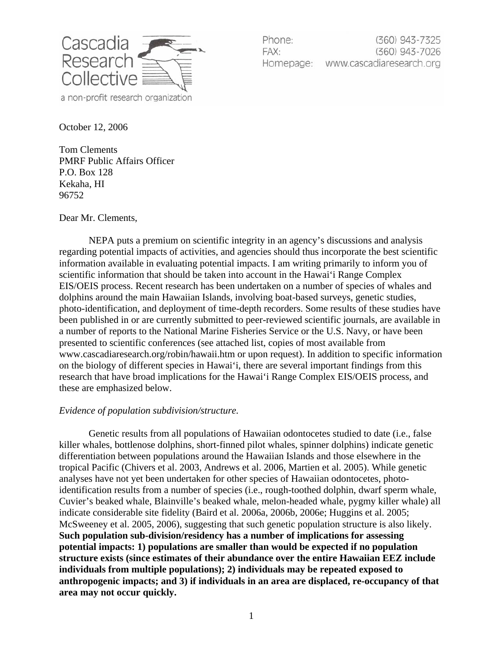

Phone: (360) 943-7325 FAX: (360) 943-7026 Homepage: www.cascadiaresearch.org

October 12, 2006

Tom Clements PMRF Public Affairs Officer P.O. Box 128 Kekaha, HI 96752

Dear Mr. Clements,

NEPA puts a premium on scientific integrity in an agency's discussions and analysis regarding potential impacts of activities, and agencies should thus incorporate the best scientific information available in evaluating potential impacts. I am writing primarily to inform you of scientific information that should be taken into account in the Hawai'i Range Complex EIS/OEIS process. Recent research has been undertaken on a number of species of whales and dolphins around the main Hawaiian Islands, involving boat-based surveys, genetic studies, photo-identification, and deployment of time-depth recorders. Some results of these studies have been published in or are currently submitted to peer-reviewed scientific journals, are available in a number of reports to the National Marine Fisheries Service or the U.S. Navy, or have been presented to scientific conferences (see attached list, copies of most available from www.cascadiaresearch.org/robin/hawaii.htm or upon request). In addition to specific information on the biology of different species in Hawai'i, there are several important findings from this research that have broad implications for the Hawai'i Range Complex EIS/OEIS process, and these are emphasized below.

## *Evidence of population subdivision/structure.*

Genetic results from all populations of Hawaiian odontocetes studied to date (i.e., false killer whales, bottlenose dolphins, short-finned pilot whales, spinner dolphins) indicate genetic differentiation between populations around the Hawaiian Islands and those elsewhere in the tropical Pacific (Chivers et al. 2003, Andrews et al. 2006, Martien et al. 2005). While genetic analyses have not yet been undertaken for other species of Hawaiian odontocetes, photoidentification results from a number of species (i.e., rough-toothed dolphin, dwarf sperm whale, Cuvier's beaked whale, Blainville's beaked whale, melon-headed whale, pygmy killer whale) all indicate considerable site fidelity (Baird et al. 2006a, 2006b, 2006e; Huggins et al. 2005; McSweeney et al. 2005, 2006), suggesting that such genetic population structure is also likely. **Such population sub-division/residency has a number of implications for assessing potential impacts: 1) populations are smaller than would be expected if no population structure exists (since estimates of their abundance over the entire Hawaiian EEZ include individuals from multiple populations); 2) individuals may be repeated exposed to anthropogenic impacts; and 3) if individuals in an area are displaced, re-occupancy of that area may not occur quickly.**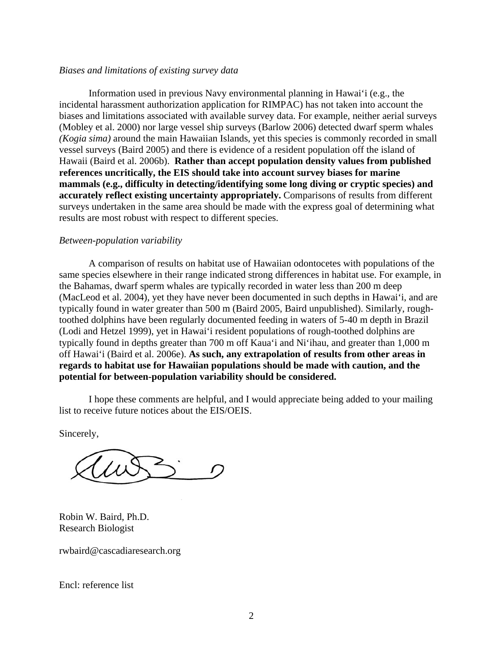## *Biases and limitations of existing survey data*

Information used in previous Navy environmental planning in Hawai'i (e.g., the incidental harassment authorization application for RIMPAC) has not taken into account the biases and limitations associated with available survey data. For example, neither aerial surveys (Mobley et al. 2000) nor large vessel ship surveys (Barlow 2006) detected dwarf sperm whales *(Kogia sima)* around the main Hawaiian Islands, yet this species is commonly recorded in small vessel surveys (Baird 2005) and there is evidence of a resident population off the island of Hawaii (Baird et al. 2006b). **Rather than accept population density values from published references uncritically, the EIS should take into account survey biases for marine mammals (e.g., difficulty in detecting/identifying some long diving or cryptic species) and accurately reflect existing uncertainty appropriately.** Comparisons of results from different surveys undertaken in the same area should be made with the express goal of determining what results are most robust with respect to different species.

## *Between-population variability*

A comparison of results on habitat use of Hawaiian odontocetes with populations of the same species elsewhere in their range indicated strong differences in habitat use. For example, in the Bahamas, dwarf sperm whales are typically recorded in water less than 200 m deep (MacLeod et al. 2004), yet they have never been documented in such depths in Hawai'i, and are typically found in water greater than 500 m (Baird 2005, Baird unpublished). Similarly, roughtoothed dolphins have been regularly documented feeding in waters of 5-40 m depth in Brazil (Lodi and Hetzel 1999), yet in Hawai'i resident populations of rough-toothed dolphins are typically found in depths greater than 700 m off Kaua'i and Ni'ihau, and greater than 1,000 m off Hawai'i (Baird et al. 2006e). **As such, any extrapolation of results from other areas in regards to habitat use for Hawaiian populations should be made with caution, and the potential for between-population variability should be considered.**

I hope these comments are helpful, and I would appreciate being added to your mailing list to receive future notices about the EIS/OEIS.

Sincerely,

Robin W. Baird, Ph.D. Research Biologist

rwbaird@cascadiaresearch.org

Encl: reference list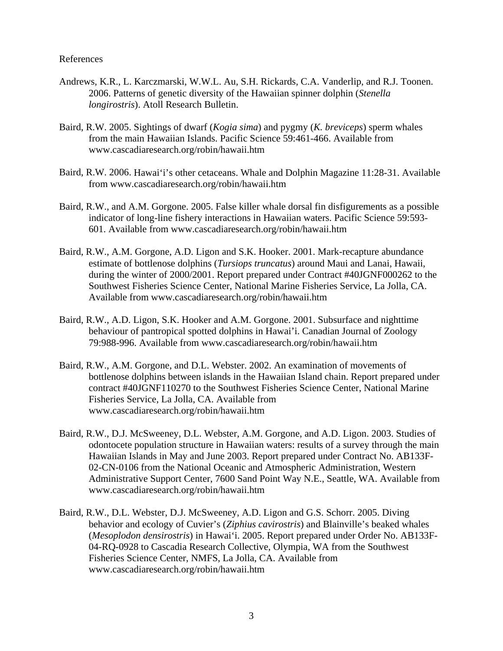## References

- Andrews, K.R., L. Karczmarski, W.W.L. Au, S.H. Rickards, C.A. Vanderlip, and R.J. Toonen. 2006. Patterns of genetic diversity of the Hawaiian spinner dolphin (*Stenella longirostris*). Atoll Research Bulletin.
- Baird, R.W. 2005. Sightings of dwarf (*Kogia sima*) and pygmy (*K. breviceps*) sperm whales from the main Hawaiian Islands. Pacific Science 59:461-466. Available from www.cascadiaresearch.org/robin/hawaii.htm
- Baird, R.W. 2006. Hawai'i's other cetaceans. Whale and Dolphin Magazine 11:28-31. Available from www.cascadiaresearch.org/robin/hawaii.htm
- Baird, R.W., and A.M. Gorgone. 2005. False killer whale dorsal fin disfigurements as a possible indicator of long-line fishery interactions in Hawaiian waters. Pacific Science 59:593- 601. Available from www.cascadiaresearch.org/robin/hawaii.htm
- Baird, R.W., A.M. Gorgone, A.D. Ligon and S.K. Hooker. 2001. Mark-recapture abundance estimate of bottlenose dolphins (*Tursiops truncatus*) around Maui and Lanai, Hawaii, during the winter of 2000/2001. Report prepared under Contract #40JGNF000262 to the Southwest Fisheries Science Center, National Marine Fisheries Service, La Jolla, CA. Available from www.cascadiaresearch.org/robin/hawaii.htm
- Baird, R.W., A.D. Ligon, S.K. Hooker and A.M. Gorgone. 2001. Subsurface and nighttime behaviour of pantropical spotted dolphins in Hawai'i. Canadian Journal of Zoology 79:988-996. Available from www.cascadiaresearch.org/robin/hawaii.htm
- Baird, R.W., A.M. Gorgone, and D.L. Webster. 2002. An examination of movements of bottlenose dolphins between islands in the Hawaiian Island chain. Report prepared under contract #40JGNF110270 to the Southwest Fisheries Science Center, National Marine Fisheries Service, La Jolla, CA. Available from www.cascadiaresearch.org/robin/hawaii.htm
- Baird, R.W., D.J. McSweeney, D.L. Webster, A.M. Gorgone, and A.D. Ligon. 2003. Studies of odontocete population structure in Hawaiian waters: results of a survey through the main Hawaiian Islands in May and June 2003. Report prepared under Contract No. AB133F-02-CN-0106 from the National Oceanic and Atmospheric Administration, Western Administrative Support Center, 7600 Sand Point Way N.E., Seattle, WA. Available from www.cascadiaresearch.org/robin/hawaii.htm
- Baird, R.W., D.L. Webster, D.J. McSweeney, A.D. Ligon and G.S. Schorr. 2005. Diving behavior and ecology of Cuvier's (*Ziphius cavirostris*) and Blainville's beaked whales (*Mesoplodon densirostris*) in Hawai'i. 2005. Report prepared under Order No. AB133F-04-RQ-0928 to Cascadia Research Collective, Olympia, WA from the Southwest Fisheries Science Center, NMFS, La Jolla, CA. Available from www.cascadiaresearch.org/robin/hawaii.htm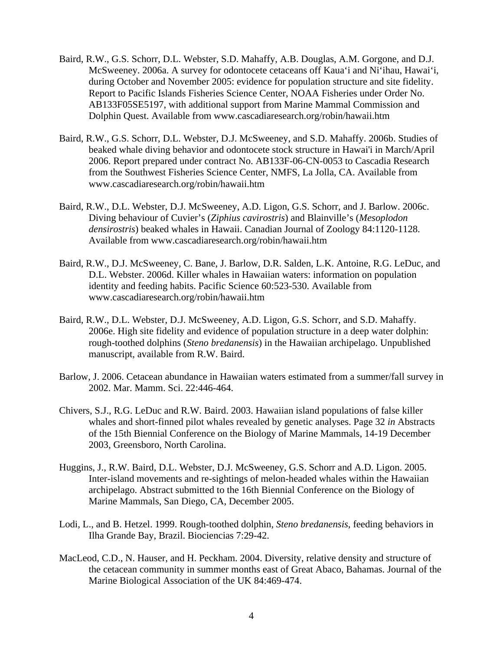- Baird, R.W., G.S. Schorr, D.L. Webster, S.D. Mahaffy, A.B. Douglas, A.M. Gorgone, and D.J. McSweeney. 2006a. A survey for odontocete cetaceans off Kaua'i and Ni'ihau, Hawai'i, during October and November 2005: evidence for population structure and site fidelity. Report to Pacific Islands Fisheries Science Center, NOAA Fisheries under Order No. AB133F05SE5197, with additional support from Marine Mammal Commission and Dolphin Quest. Available from www.cascadiaresearch.org/robin/hawaii.htm
- Baird, R.W., G.S. Schorr, D.L. Webster, D.J. McSweeney, and S.D. Mahaffy. 2006b. Studies of beaked whale diving behavior and odontocete stock structure in Hawai'i in March/April 2006. Report prepared under contract No. AB133F-06-CN-0053 to Cascadia Research from the Southwest Fisheries Science Center, NMFS, La Jolla, CA. Available from www.cascadiaresearch.org/robin/hawaii.htm
- Baird, R.W., D.L. Webster, D.J. McSweeney, A.D. Ligon, G.S. Schorr, and J. Barlow. 2006c. Diving behaviour of Cuvier's (*Ziphius cavirostris*) and Blainville's (*Mesoplodon densirostris*) beaked whales in Hawaii. Canadian Journal of Zoology 84:1120-1128. Available from www.cascadiaresearch.org/robin/hawaii.htm
- Baird, R.W., D.J. McSweeney, C. Bane, J. Barlow, D.R. Salden, L.K. Antoine, R.G. LeDuc, and D.L. Webster. 2006d. Killer whales in Hawaiian waters: information on population identity and feeding habits. Pacific Science 60:523-530. Available from www.cascadiaresearch.org/robin/hawaii.htm
- Baird, R.W., D.L. Webster, D.J. McSweeney, A.D. Ligon, G.S. Schorr, and S.D. Mahaffy. 2006e. High site fidelity and evidence of population structure in a deep water dolphin: rough-toothed dolphins (*Steno bredanensis*) in the Hawaiian archipelago. Unpublished manuscript, available from R.W. Baird.
- Barlow, J. 2006. Cetacean abundance in Hawaiian waters estimated from a summer/fall survey in 2002. Mar. Mamm. Sci. 22:446-464.
- Chivers, S.J., R.G. LeDuc and R.W. Baird. 2003. Hawaiian island populations of false killer whales and short-finned pilot whales revealed by genetic analyses. Page 32 *in* Abstracts of the 15th Biennial Conference on the Biology of Marine Mammals, 14-19 December 2003, Greensboro, North Carolina.
- Huggins, J., R.W. Baird, D.L. Webster, D.J. McSweeney, G.S. Schorr and A.D. Ligon. 2005. Inter-island movements and re-sightings of melon-headed whales within the Hawaiian archipelago. Abstract submitted to the 16th Biennial Conference on the Biology of Marine Mammals, San Diego, CA, December 2005.
- Lodi, L., and B. Hetzel. 1999. Rough-toothed dolphin, *Steno bredanensis*, feeding behaviors in Ilha Grande Bay, Brazil. Biociencias 7:29-42.
- MacLeod, C.D., N. Hauser, and H. Peckham. 2004. Diversity, relative density and structure of the cetacean community in summer months east of Great Abaco, Bahamas. Journal of the Marine Biological Association of the UK 84:469-474.